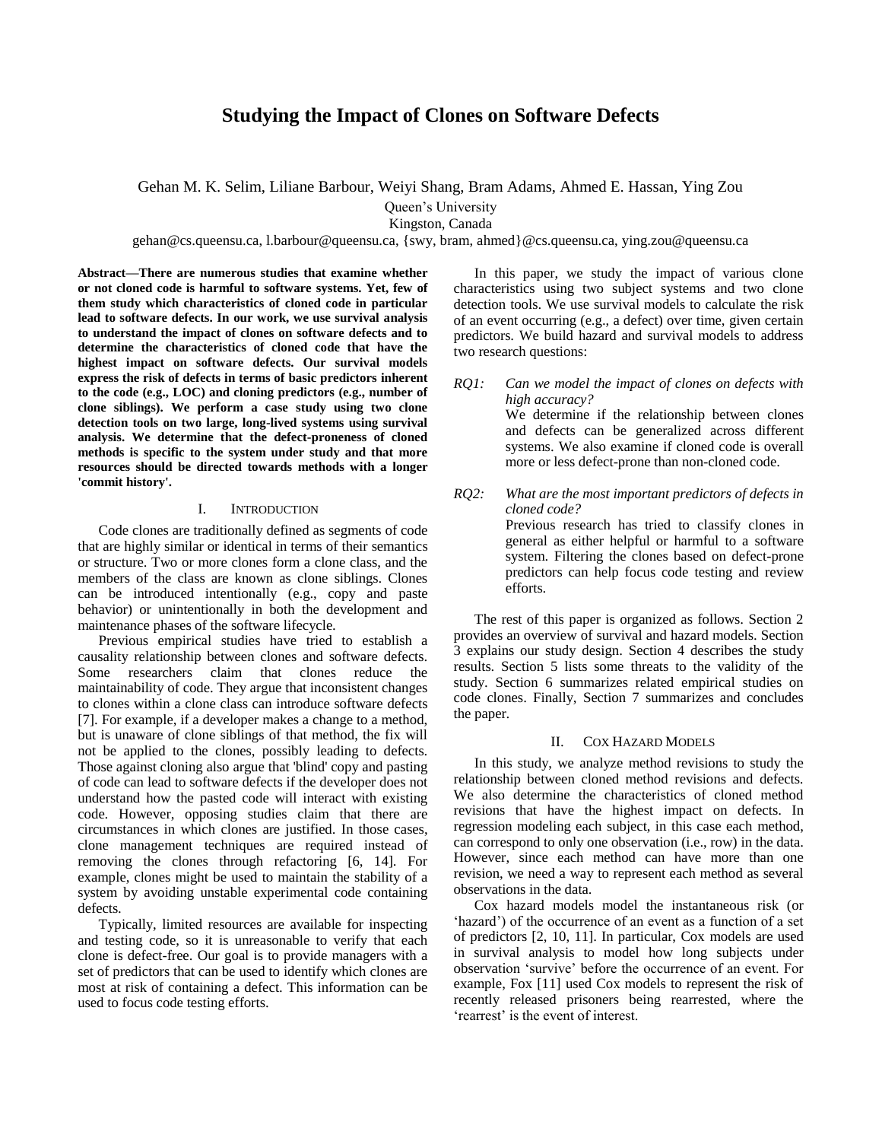# **Studying the Impact of Clones on Software Defects**

Gehan M. K. Selim, Liliane Barbour, Weiyi Shang, Bram Adams, Ahmed E. Hassan, Ying Zou

Queen"s University

Kingston, Canada

gehan@cs.queensu.ca, l.barbour@queensu.ca, {swy, bram, ahmed}@cs.queensu.ca, ying.zou@queensu.ca

**Abstract—There are numerous studies that examine whether or not cloned code is harmful to software systems. Yet, few of them study which characteristics of cloned code in particular lead to software defects. In our work, we use survival analysis to understand the impact of clones on software defects and to determine the characteristics of cloned code that have the highest impact on software defects. Our survival models express the risk of defects in terms of basic predictors inherent to the code (e.g., LOC) and cloning predictors (e.g., number of clone siblings). We perform a case study using two clone detection tools on two large, long-lived systems using survival analysis. We determine that the defect-proneness of cloned methods is specific to the system under study and that more resources should be directed towards methods with a longer 'commit history'.**

#### I. INTRODUCTION

Code clones are traditionally defined as segments of code that are highly similar or identical in terms of their semantics or structure. Two or more clones form a clone class, and the members of the class are known as clone siblings. Clones can be introduced intentionally (e.g., copy and paste behavior) or unintentionally in both the development and maintenance phases of the software lifecycle.

Previous empirical studies have tried to establish a causality relationship between clones and software defects. Some researchers claim that clones reduce the maintainability of code. They argue that inconsistent changes to clones within a clone class can introduce software defects [7]. For example, if a developer makes a change to a method, but is unaware of clone siblings of that method, the fix will not be applied to the clones, possibly leading to defects. Those against cloning also argue that 'blind' copy and pasting of code can lead to software defects if the developer does not understand how the pasted code will interact with existing code. However, opposing studies claim that there are circumstances in which clones are justified. In those cases, clone management techniques are required instead of removing the clones through refactoring [6, 14]. For example, clones might be used to maintain the stability of a system by avoiding unstable experimental code containing defects.

Typically, limited resources are available for inspecting and testing code, so it is unreasonable to verify that each clone is defect-free. Our goal is to provide managers with a set of predictors that can be used to identify which clones are most at risk of containing a defect. This information can be used to focus code testing efforts.

In this paper, we study the impact of various clone characteristics using two subject systems and two clone detection tools. We use survival models to calculate the risk of an event occurring (e.g., a defect) over time, given certain predictors. We build hazard and survival models to address two research questions:

*RQ1: Can we model the impact of clones on defects with high accuracy?* We determine if the relationship between clones and defects can be generalized across different systems. We also examine if cloned code is overall more or less defect-prone than non-cloned code.

*RQ2: What are the most important predictors of defects in cloned code?* Previous research has tried to classify clones in general as either helpful or harmful to a software system. Filtering the clones based on defect-prone predictors can help focus code testing and review efforts.

The rest of this paper is organized as follows. Section 2 provides an overview of survival and hazard models. Section 3 explains our study design. Section 4 describes the study results. Section 5 lists some threats to the validity of the study. Section 6 summarizes related empirical studies on code clones. Finally, Section 7 summarizes and concludes the paper.

# II. COX HAZARD MODELS

In this study, we analyze method revisions to study the relationship between cloned method revisions and defects. We also determine the characteristics of cloned method revisions that have the highest impact on defects. In regression modeling each subject, in this case each method, can correspond to only one observation (i.e., row) in the data. However, since each method can have more than one revision, we need a way to represent each method as several observations in the data.

Cox hazard models model the instantaneous risk (or 'hazard') of the occurrence of an event as a function of a set of predictors [2, 10, 11]. In particular, Cox models are used in survival analysis to model how long subjects under observation "survive" before the occurrence of an event. For example, Fox [11] used Cox models to represent the risk of recently released prisoners being rearrested, where the 'rearrest' is the event of interest.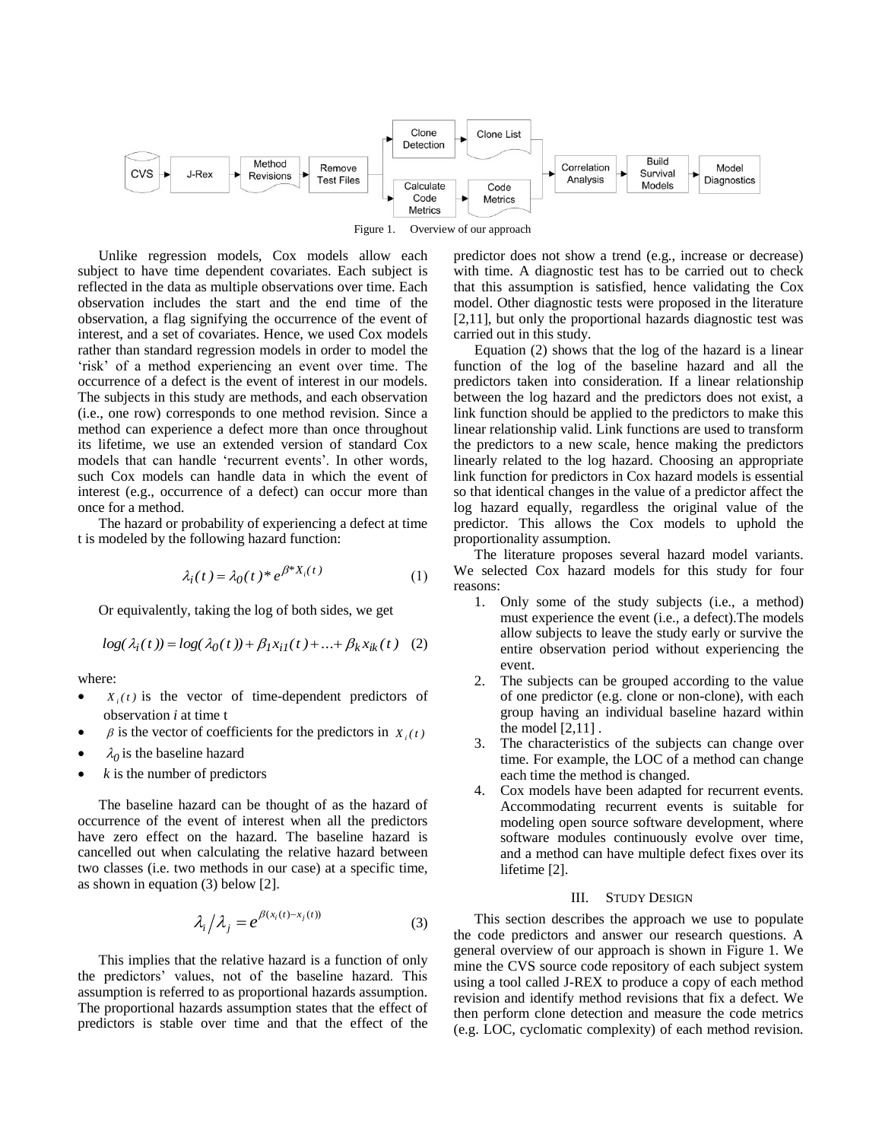

Figure 1. Overview of our approach

Unlike regression models, Cox models allow each subject to have time dependent covariates. Each subject is reflected in the data as multiple observations over time. Each observation includes the start and the end time of the observation, a flag signifying the occurrence of the event of interest, and a set of covariates. Hence, we used Cox models rather than standard regression models in order to model the "risk" of a method experiencing an event over time. The occurrence of a defect is the event of interest in our models. The subjects in this study are methods, and each observation (i.e., one row) corresponds to one method revision. Since a method can experience a defect more than once throughout its lifetime, we use an extended version of standard Cox models that can handle 'recurrent events'. In other words, such Cox models can handle data in which the event of interest (e.g., occurrence of a defect) can occur more than once for a method.

The hazard or probability of experiencing a defect at time t is modeled by the following hazard function:

$$
\lambda_i(t) = \lambda_0(t)^* e^{\beta^* X_i(t)}
$$
 (1)

Or equivalently, taking the log of both sides, we get

$$
log(\lambda_i(t)) = log(\lambda_0(t)) + \beta_1 x_{i1}(t) + ... + \beta_k x_{ik}(t)
$$
 (2)

where:

- $X_i(t)$  is the vector of time-dependent predictors of observation *i* at time t
- $\beta$  is the vector of coefficients for the predictors in  $X_i(t)$
- $\lambda_0$  is the baseline hazard
- *k* is the number of predictors

The baseline hazard can be thought of as the hazard of occurrence of the event of interest when all the predictors have zero effect on the hazard. The baseline hazard is cancelled out when calculating the relative hazard between two classes (i.e. two methods in our case) at a specific time, as shown in equation (3) below [2].

$$
\lambda_i/\lambda_j = e^{\beta(x_i(t)-x_j(t))}
$$
 (3)

This implies that the relative hazard is a function of only the predictors" values, not of the baseline hazard. This assumption is referred to as proportional hazards assumption. The proportional hazards assumption states that the effect of predictors is stable over time and that the effect of the predictor does not show a trend (e.g., increase or decrease) with time. A diagnostic test has to be carried out to check that this assumption is satisfied, hence validating the Cox model. Other diagnostic tests were proposed in the literature [2,11], but only the proportional hazards diagnostic test was carried out in this study.

Equation (2) shows that the log of the hazard is a linear function of the log of the baseline hazard and all the predictors taken into consideration. If a linear relationship between the log hazard and the predictors does not exist, a link function should be applied to the predictors to make this linear relationship valid. Link functions are used to transform the predictors to a new scale, hence making the predictors linearly related to the log hazard. Choosing an appropriate link function for predictors in Cox hazard models is essential so that identical changes in the value of a predictor affect the log hazard equally, regardless the original value of the predictor. This allows the Cox models to uphold the proportionality assumption.

The literature proposes several hazard model variants. We selected Cox hazard models for this study for four reasons:

- 1. Only some of the study subjects (i.e., a method) must experience the event (i.e., a defect).The models allow subjects to leave the study early or survive the entire observation period without experiencing the event.
- 2. The subjects can be grouped according to the value of one predictor (e.g. clone or non-clone), with each group having an individual baseline hazard within the model [2,11] .
- 3. The characteristics of the subjects can change over time. For example, the LOC of a method can change each time the method is changed.
- 4. Cox models have been adapted for recurrent events. Accommodating recurrent events is suitable for modeling open source software development, where software modules continuously evolve over time, and a method can have multiple defect fixes over its lifetime [2].

#### III. STUDY DESIGN

This section describes the approach we use to populate the code predictors and answer our research questions. A general overview of our approach is shown in Figure 1. We mine the CVS source code repository of each subject system using a tool called J-REX to produce a copy of each method revision and identify method revisions that fix a defect. We then perform clone detection and measure the code metrics (e.g. LOC, cyclomatic complexity) of each method revision.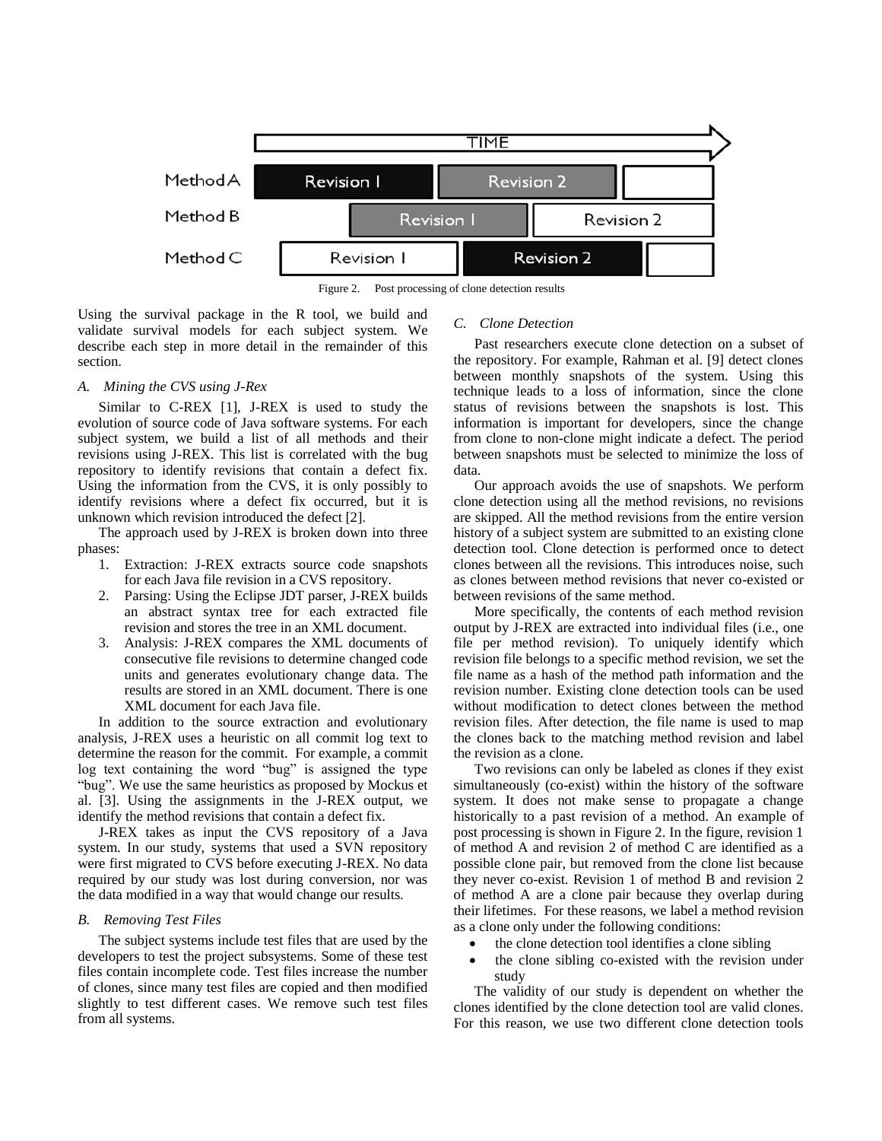

Figure 2. Post processing of clone detection results

Using the survival package in the R tool, we build and validate survival models for each subject system. We describe each step in more detail in the remainder of this section.

# *A. Mining the CVS using J-Rex*

Similar to C-REX [1], J-REX is used to study the evolution of source code of Java software systems. For each subject system, we build a list of all methods and their revisions using J-REX. This list is correlated with the bug repository to identify revisions that contain a defect fix. Using the information from the CVS, it is only possibly to identify revisions where a defect fix occurred, but it is unknown which revision introduced the defect [2].

The approach used by J-REX is broken down into three phases:

- 1. Extraction: J-REX extracts source code snapshots for each Java file revision in a CVS repository.
- 2. Parsing: Using the Eclipse JDT parser, J-REX builds an abstract syntax tree for each extracted file revision and stores the tree in an XML document.
- 3. Analysis: J-REX compares the XML documents of consecutive file revisions to determine changed code units and generates evolutionary change data. The results are stored in an XML document. There is one XML document for each Java file.

In addition to the source extraction and evolutionary analysis, J-REX uses a heuristic on all commit log text to determine the reason for the commit. For example, a commit log text containing the word "bug" is assigned the type "bug". We use the same heuristics as proposed by Mockus et al. [3]. Using the assignments in the J-REX output, we identify the method revisions that contain a defect fix.

J-REX takes as input the CVS repository of a Java system. In our study, systems that used a SVN repository were first migrated to CVS before executing J-REX. No data required by our study was lost during conversion, nor was the data modified in a way that would change our results.

#### *B. Removing Test Files*

The subject systems include test files that are used by the developers to test the project subsystems. Some of these test files contain incomplete code. Test files increase the number of clones, since many test files are copied and then modified slightly to test different cases. We remove such test files from all systems.

# *C. Clone Detection*

Past researchers execute clone detection on a subset of the repository. For example, Rahman et al. [9] detect clones between monthly snapshots of the system. Using this technique leads to a loss of information, since the clone status of revisions between the snapshots is lost. This information is important for developers, since the change from clone to non-clone might indicate a defect. The period between snapshots must be selected to minimize the loss of data.

Our approach avoids the use of snapshots. We perform clone detection using all the method revisions, no revisions are skipped. All the method revisions from the entire version history of a subject system are submitted to an existing clone detection tool. Clone detection is performed once to detect clones between all the revisions. This introduces noise, such as clones between method revisions that never co-existed or between revisions of the same method.

More specifically, the contents of each method revision output by J-REX are extracted into individual files (i.e., one file per method revision). To uniquely identify which revision file belongs to a specific method revision, we set the file name as a hash of the method path information and the revision number. Existing clone detection tools can be used without modification to detect clones between the method revision files. After detection, the file name is used to map the clones back to the matching method revision and label the revision as a clone.

Two revisions can only be labeled as clones if they exist simultaneously (co-exist) within the history of the software system. It does not make sense to propagate a change historically to a past revision of a method. An example of post processing is shown in Figure 2. In the figure, revision 1 of method A and revision 2 of method C are identified as a possible clone pair, but removed from the clone list because they never co-exist. Revision 1 of method B and revision 2 of method A are a clone pair because they overlap during their lifetimes. For these reasons, we label a method revision as a clone only under the following conditions:

- the clone detection tool identifies a clone sibling
- the clone sibling co-existed with the revision under study

The validity of our study is dependent on whether the clones identified by the clone detection tool are valid clones. For this reason, we use two different clone detection tools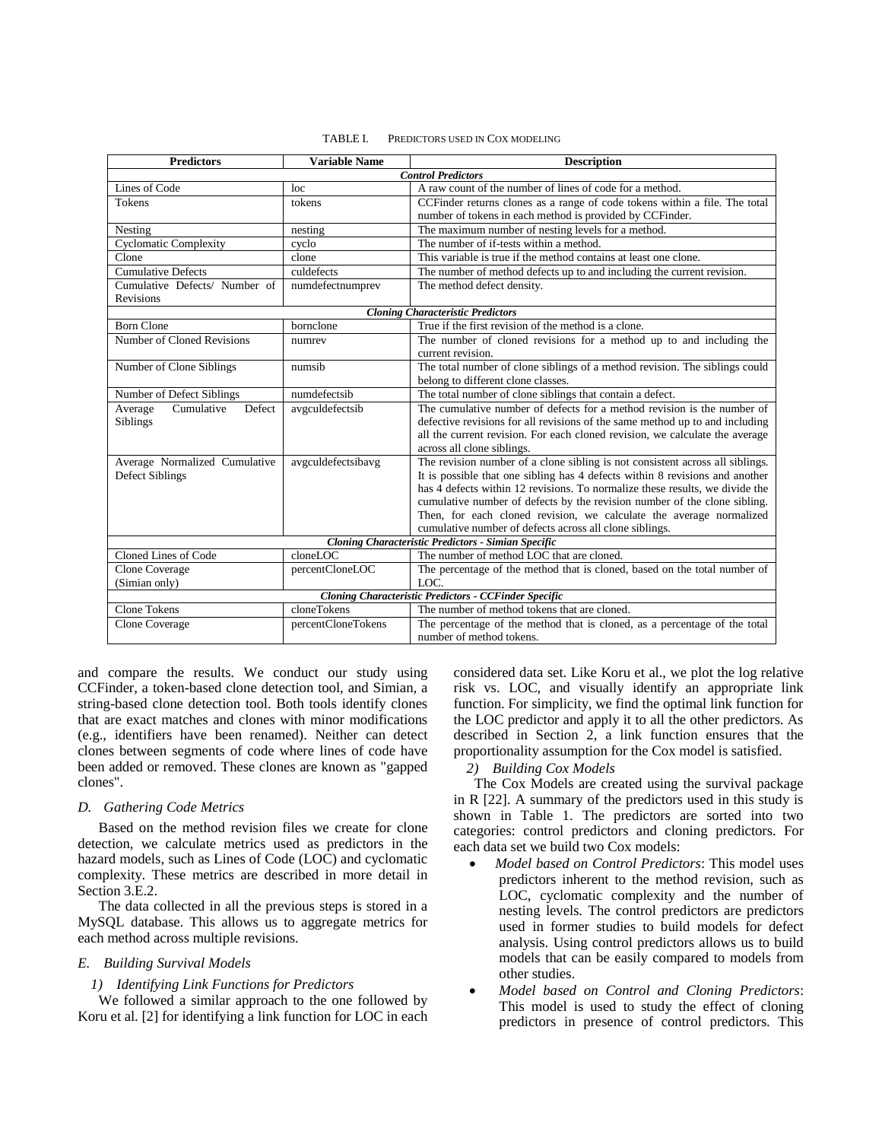| TABLE L | PREDICTORS USED IN COX MODELING |
|---------|---------------------------------|
|         |                                 |

| <b>Predictors</b>               | <b>Variable Name</b> | <b>Description</b>                                                                                    |  |  |
|---------------------------------|----------------------|-------------------------------------------------------------------------------------------------------|--|--|
| <b>Control Predictors</b>       |                      |                                                                                                       |  |  |
| Lines of Code                   | loc                  | A raw count of the number of lines of code for a method.                                              |  |  |
| Tokens                          | tokens               | CCFinder returns clones as a range of code tokens within a file. The total                            |  |  |
|                                 |                      | number of tokens in each method is provided by CCFinder.                                              |  |  |
| Nesting                         | nesting              | The maximum number of nesting levels for a method.                                                    |  |  |
| <b>Cyclomatic Complexity</b>    | cyclo                | The number of if-tests within a method.                                                               |  |  |
| Clone                           | clone                | This variable is true if the method contains at least one clone.                                      |  |  |
| <b>Cumulative Defects</b>       | culdefects           | The number of method defects up to and including the current revision.                                |  |  |
| Cumulative Defects/ Number of   | numdefectnumprev     | The method defect density.                                                                            |  |  |
| Revisions                       |                      |                                                                                                       |  |  |
|                                 |                      | <b>Cloning Characteristic Predictors</b>                                                              |  |  |
| <b>Born Clone</b>               | bornclone            | True if the first revision of the method is a clone.                                                  |  |  |
| Number of Cloned Revisions      | numrev               | The number of cloned revisions for a method up to and including the                                   |  |  |
|                                 |                      | current revision.                                                                                     |  |  |
| Number of Clone Siblings        | numsib               | The total number of clone siblings of a method revision. The siblings could                           |  |  |
|                                 |                      | belong to different clone classes.                                                                    |  |  |
| Number of Defect Siblings       | numdefectsib         | The total number of clone siblings that contain a defect.                                             |  |  |
| Cumulative<br>Defect<br>Average | avgculdefectsib      | The cumulative number of defects for a method revision is the number of                               |  |  |
| Siblings                        |                      | defective revisions for all revisions of the same method up to and including                          |  |  |
|                                 |                      | all the current revision. For each cloned revision, we calculate the average                          |  |  |
|                                 |                      | across all clone siblings.                                                                            |  |  |
| Average Normalized Cumulative   | avgculdefectsibavg   | The revision number of a clone sibling is not consistent across all siblings.                         |  |  |
| <b>Defect Siblings</b>          |                      | It is possible that one sibling has 4 defects within 8 revisions and another                          |  |  |
|                                 |                      | has 4 defects within 12 revisions. To normalize these results, we divide the                          |  |  |
|                                 |                      | cumulative number of defects by the revision number of the clone sibling.                             |  |  |
|                                 |                      | Then, for each cloned revision, we calculate the average normalized                                   |  |  |
|                                 |                      | cumulative number of defects across all clone siblings.                                               |  |  |
|                                 |                      | Cloning Characteristic Predictors - Simian Specific                                                   |  |  |
| Cloned Lines of Code            | cloneLOC             | The number of method LOC that are cloned.                                                             |  |  |
| Clone Coverage                  | percentCloneLOC      | The percentage of the method that is cloned, based on the total number of                             |  |  |
| (Simian only)                   |                      | LOC.                                                                                                  |  |  |
|                                 | cloneTokens          | Cloning Characteristic Predictors - CCFinder Specific<br>The number of method tokens that are cloned. |  |  |
| Clone Tokens                    |                      |                                                                                                       |  |  |
| Clone Coverage                  | percentCloneTokens   | The percentage of the method that is cloned, as a percentage of the total                             |  |  |
|                                 |                      | number of method tokens.                                                                              |  |  |

and compare the results. We conduct our study using CCFinder, a token-based clone detection tool, and Simian, a string-based clone detection tool. Both tools identify clones that are exact matches and clones with minor modifications (e.g., identifiers have been renamed). Neither can detect clones between segments of code where lines of code have been added or removed. These clones are known as "gapped clones".

# *D. Gathering Code Metrics*

Based on the method revision files we create for clone detection, we calculate metrics used as predictors in the hazard models, such as Lines of Code (LOC) and cyclomatic complexity. These metrics are described in more detail in Section 3.E.2.

The data collected in all the previous steps is stored in a MySQL database. This allows us to aggregate metrics for each method across multiple revisions.

## *E. Building Survival Models*

#### *1) Identifying Link Functions for Predictors*

We followed a similar approach to the one followed by Koru et al. [2] for identifying a link function for LOC in each considered data set. Like Koru et al., we plot the log relative risk vs. LOC, and visually identify an appropriate link function. For simplicity, we find the optimal link function for the LOC predictor and apply it to all the other predictors. As described in Section 2, a link function ensures that the proportionality assumption for the Cox model is satisfied.

## *2) Building Cox Models*

The Cox Models are created using the survival package in R [22]. A summary of the predictors used in this study is shown in Table 1. The predictors are sorted into two categories: control predictors and cloning predictors. For each data set we build two Cox models:

- *Model based on Control Predictors*: This model uses predictors inherent to the method revision, such as LOC, cyclomatic complexity and the number of nesting levels. The control predictors are predictors used in former studies to build models for defect analysis. Using control predictors allows us to build models that can be easily compared to models from other studies.
- *Model based on Control and Cloning Predictors*: This model is used to study the effect of cloning predictors in presence of control predictors. This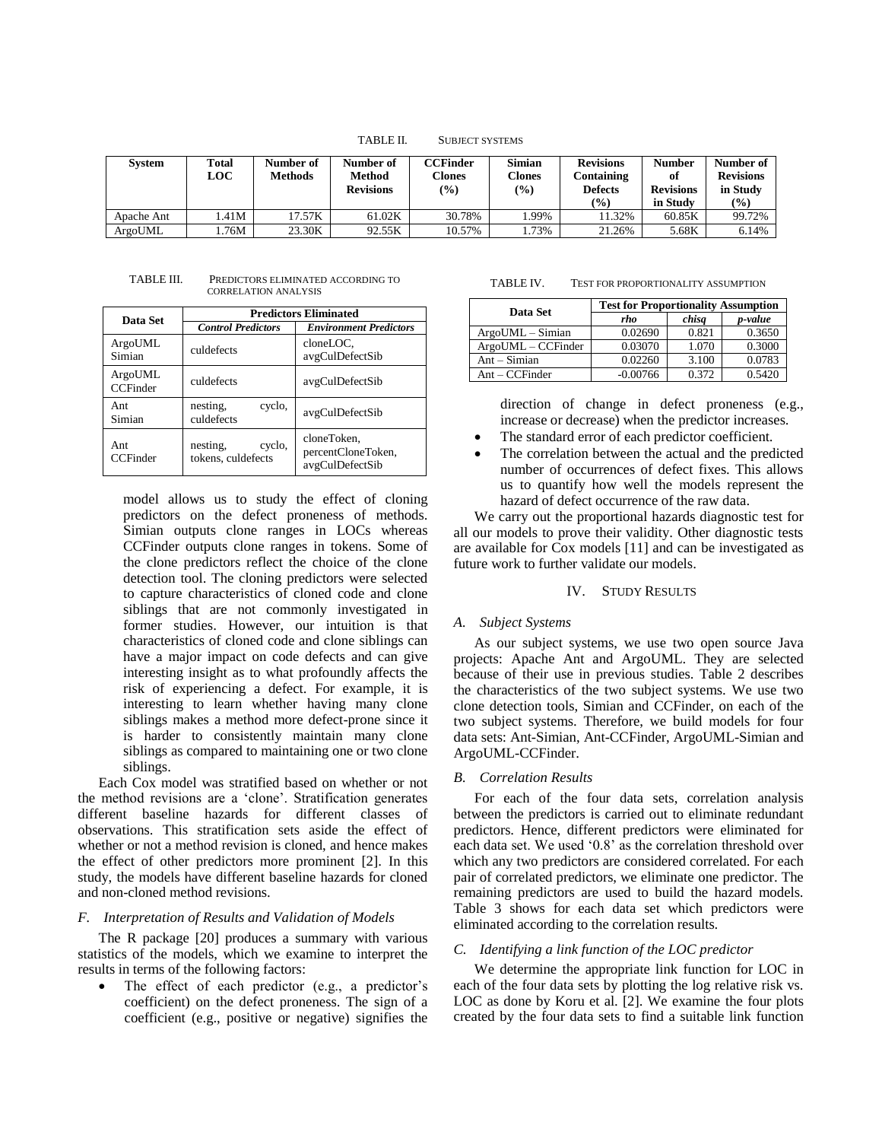TABLE II. SUBJECT SYSTEMS

| <b>System</b> | Total<br>LOC | Number of<br><b>Methods</b> | Number of<br>Method<br><b>Revisions</b> | <b>CCFinder</b><br>Clones<br>$(\%)$ | Simian<br><b>Clones</b><br>$\binom{0}{0}$ | <b>Revisions</b><br>Containing<br><b>Defects</b><br>(%) | <b>Number</b><br>of<br><b>Revisions</b><br>in Study | Number of<br><b>Revisions</b><br>in Study<br>$\frac{9}{0}$ |
|---------------|--------------|-----------------------------|-----------------------------------------|-------------------------------------|-------------------------------------------|---------------------------------------------------------|-----------------------------------------------------|------------------------------------------------------------|
| Apache Ant    | .41M         | 17.57K                      | 61.02K                                  | 30.78%                              | .99%                                      | 11.32%                                                  | 60.85K                                              | 99.72%                                                     |
| ArgoUML       | 76M          | 23.30K                      | 92.55K                                  | 10.57%                              | .73%                                      | 21.26%                                                  | 5.68K                                               | 6.14%                                                      |

TABLE III. PREDICTORS ELIMINATED ACCORDING TO CORRELATION ANALYSIS

| Data Set            | <b>Predictors Eliminated</b>             |                                                      |  |  |
|---------------------|------------------------------------------|------------------------------------------------------|--|--|
|                     | <b>Control Predictors</b>                | <b>Environment Predictors</b>                        |  |  |
| ArgoUML<br>Simian   | culdefects                               | cloneLOC.<br>avgCulDefectSib                         |  |  |
| ArgoUML<br>CCFinder | culdefects                               | avgCulDefectSib                                      |  |  |
| Ant<br>Simian       | cyclo,<br>nesting,<br>culdefects         | avgCulDefectSib                                      |  |  |
| Ant<br>CCFinder     | nesting,<br>cyclo,<br>tokens, culdefects | cloneToken,<br>percentCloneToken,<br>avgCulDefectSib |  |  |

model allows us to study the effect of cloning predictors on the defect proneness of methods. Simian outputs clone ranges in LOCs whereas CCFinder outputs clone ranges in tokens. Some of the clone predictors reflect the choice of the clone detection tool. The cloning predictors were selected to capture characteristics of cloned code and clone siblings that are not commonly investigated in former studies. However, our intuition is that characteristics of cloned code and clone siblings can have a major impact on code defects and can give interesting insight as to what profoundly affects the risk of experiencing a defect. For example, it is interesting to learn whether having many clone siblings makes a method more defect-prone since it is harder to consistently maintain many clone siblings as compared to maintaining one or two clone siblings.

Each Cox model was stratified based on whether or not the method revisions are a "clone". Stratification generates different baseline hazards for different classes of observations. This stratification sets aside the effect of whether or not a method revision is cloned, and hence makes the effect of other predictors more prominent [2]. In this study, the models have different baseline hazards for cloned and non-cloned method revisions.

# *F. Interpretation of Results and Validation of Models*

The R package [20] produces a summary with various statistics of the models, which we examine to interpret the results in terms of the following factors:

The effect of each predictor (e.g., a predictor's coefficient) on the defect proneness. The sign of a coefficient (e.g., positive or negative) signifies the

# TABLE IV. TEST FOR PROPORTIONALITY ASSUMPTION

| Data Set           | <b>Test for Proportionality Assumption</b> |       |         |  |
|--------------------|--------------------------------------------|-------|---------|--|
|                    | rho                                        | chisa | p-value |  |
| $ArgoUML-Simian$   | 0.02690                                    | 0.821 | 0.3650  |  |
| ArgoUML – CCFinder | 0.03070                                    | 1.070 | 0.3000  |  |
| $Ant-Simian$       | 0.02260                                    | 3.100 | 0.0783  |  |
| $Ant - CCFinder$   | $-0.00766$                                 | 0.372 | 0.5420  |  |

direction of change in defect proneness (e.g., increase or decrease) when the predictor increases.

- The standard error of each predictor coefficient.
- The correlation between the actual and the predicted number of occurrences of defect fixes. This allows us to quantify how well the models represent the hazard of defect occurrence of the raw data.

We carry out the proportional hazards diagnostic test for all our models to prove their validity. Other diagnostic tests are available for Cox models [11] and can be investigated as future work to further validate our models.

# IV. STUDY RESULTS

#### *A. Subject Systems*

As our subject systems, we use two open source Java projects: Apache Ant and ArgoUML. They are selected because of their use in previous studies. Table 2 describes the characteristics of the two subject systems. We use two clone detection tools, Simian and CCFinder, on each of the two subject systems. Therefore, we build models for four data sets: Ant-Simian, Ant-CCFinder, ArgoUML-Simian and ArgoUML-CCFinder.

#### *B. Correlation Results*

For each of the four data sets, correlation analysis between the predictors is carried out to eliminate redundant predictors. Hence, different predictors were eliminated for each data set. We used "0.8" as the correlation threshold over which any two predictors are considered correlated. For each pair of correlated predictors, we eliminate one predictor. The remaining predictors are used to build the hazard models. Table 3 shows for each data set which predictors were eliminated according to the correlation results.

#### *C. Identifying a link function of the LOC predictor*

We determine the appropriate link function for LOC in each of the four data sets by plotting the log relative risk vs. LOC as done by Koru et al. [2]. We examine the four plots created by the four data sets to find a suitable link function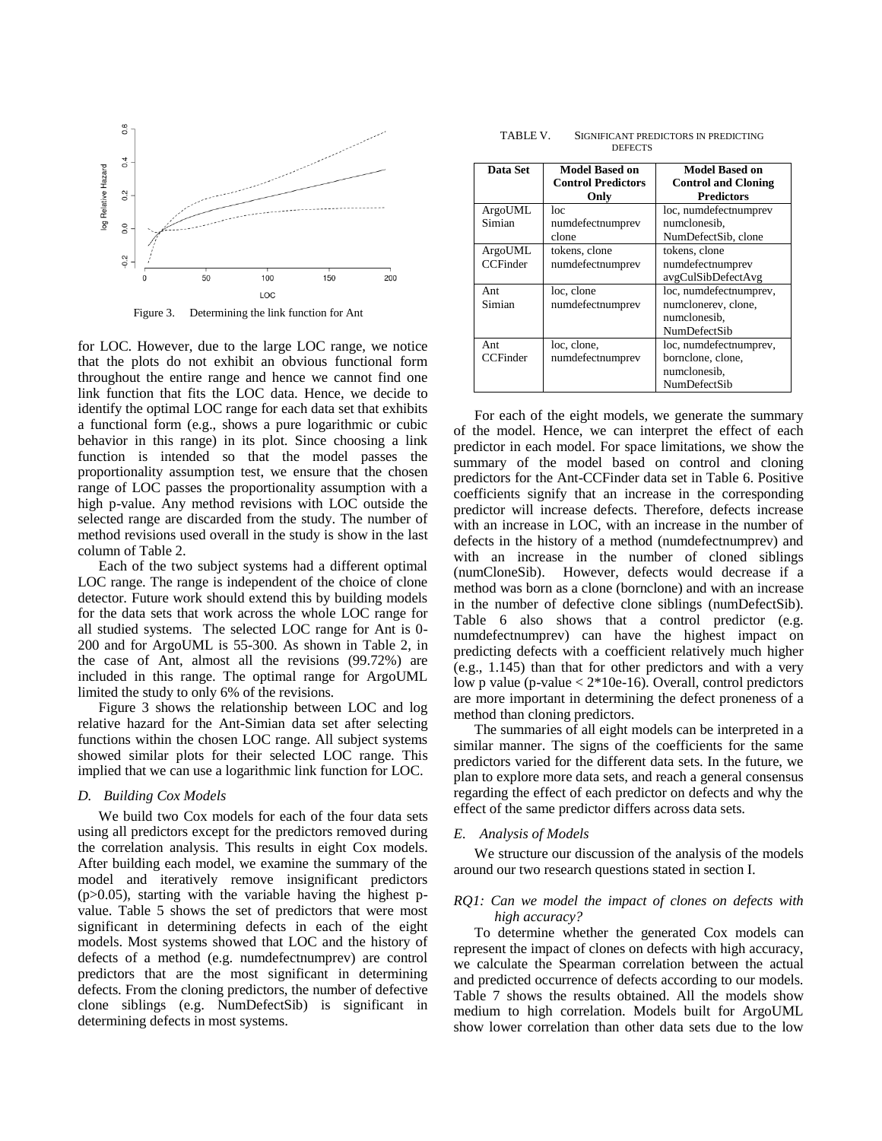

Figure 3. Determining the link function for Ant

for LOC. However, due to the large LOC range, we notice that the plots do not exhibit an obvious functional form throughout the entire range and hence we cannot find one link function that fits the LOC data. Hence, we decide to identify the optimal LOC range for each data set that exhibits a functional form (e.g., shows a pure logarithmic or cubic behavior in this range) in its plot. Since choosing a link function is intended so that the model passes the proportionality assumption test, we ensure that the chosen range of LOC passes the proportionality assumption with a high p-value. Any method revisions with LOC outside the selected range are discarded from the study. The number of method revisions used overall in the study is show in the last column of Table 2.

Each of the two subject systems had a different optimal LOC range. The range is independent of the choice of clone detector. Future work should extend this by building models for the data sets that work across the whole LOC range for all studied systems. The selected LOC range for Ant is 0- 200 and for ArgoUML is 55-300. As shown in Table 2, in the case of Ant, almost all the revisions (99.72%) are included in this range. The optimal range for ArgoUML limited the study to only 6% of the revisions.

Figure 3 shows the relationship between LOC and log relative hazard for the Ant-Simian data set after selecting functions within the chosen LOC range. All subject systems showed similar plots for their selected LOC range. This implied that we can use a logarithmic link function for LOC.

#### *D. Building Cox Models*

We build two Cox models for each of the four data sets using all predictors except for the predictors removed during the correlation analysis. This results in eight Cox models. After building each model, we examine the summary of the model and iteratively remove insignificant predictors  $(p>0.05)$ , starting with the variable having the highest pvalue. Table 5 shows the set of predictors that were most significant in determining defects in each of the eight models. Most systems showed that LOC and the history of defects of a method (e.g. numdefectnumprev) are control predictors that are the most significant in determining defects. From the cloning predictors, the number of defective clone siblings (e.g. NumDefectSib) is significant in determining defects in most systems.

TABLE V. SIGNIFICANT PREDICTORS IN PREDICTING **DEFECTS** 

| Data Set            | Model Based on<br><b>Control Predictors</b><br>Only | Model Based on<br><b>Control and Cloning</b><br><b>Predictors</b>                    |
|---------------------|-----------------------------------------------------|--------------------------------------------------------------------------------------|
| ArgoUML<br>Simian   | loc.<br>numdefectnumprev                            | loc, numdefectnumprev<br>numclonesib,                                                |
|                     | clone                                               | NumDefectSib, clone                                                                  |
| ArgoUML<br>CCFinder | tokens, clone<br>numdefectnumprev                   | tokens, clone<br>numdefectnumprev<br>avgCulSibDefectAvg                              |
| Ant<br>Simian       | loc, clone<br>numdefectnumprev                      | loc, numdefectnumprev,<br>numclonerev, clone,<br>numclonesib.<br><b>NumDefectSib</b> |
| Ant<br>CCFinder     | loc, clone,<br>numdefectnumprev                     | loc, numdefectnumprev,<br>bornclone, clone,<br>numclonesib,<br><b>NumDefectSib</b>   |

For each of the eight models, we generate the summary of the model. Hence, we can interpret the effect of each predictor in each model. For space limitations, we show the summary of the model based on control and cloning predictors for the Ant-CCFinder data set in Table 6. Positive coefficients signify that an increase in the corresponding predictor will increase defects. Therefore, defects increase with an increase in LOC, with an increase in the number of defects in the history of a method (numdefectnumprev) and with an increase in the number of cloned siblings (numCloneSib). However, defects would decrease if a method was born as a clone (bornclone) and with an increase in the number of defective clone siblings (numDefectSib). Table 6 also shows that a control predictor (e.g. numdefectnumprev) can have the highest impact on predicting defects with a coefficient relatively much higher (e.g., 1.145) than that for other predictors and with a very low p value (p-value  $\lt 2*10e-16$ ). Overall, control predictors are more important in determining the defect proneness of a method than cloning predictors.

The summaries of all eight models can be interpreted in a similar manner. The signs of the coefficients for the same predictors varied for the different data sets. In the future, we plan to explore more data sets, and reach a general consensus regarding the effect of each predictor on defects and why the effect of the same predictor differs across data sets.

#### *E. Analysis of Models*

We structure our discussion of the analysis of the models around our two research questions stated in section I.

# *RQ1: Can we model the impact of clones on defects with high accuracy?*

To determine whether the generated Cox models can represent the impact of clones on defects with high accuracy, we calculate the Spearman correlation between the actual and predicted occurrence of defects according to our models. Table 7 shows the results obtained. All the models show medium to high correlation. Models built for ArgoUML show lower correlation than other data sets due to the low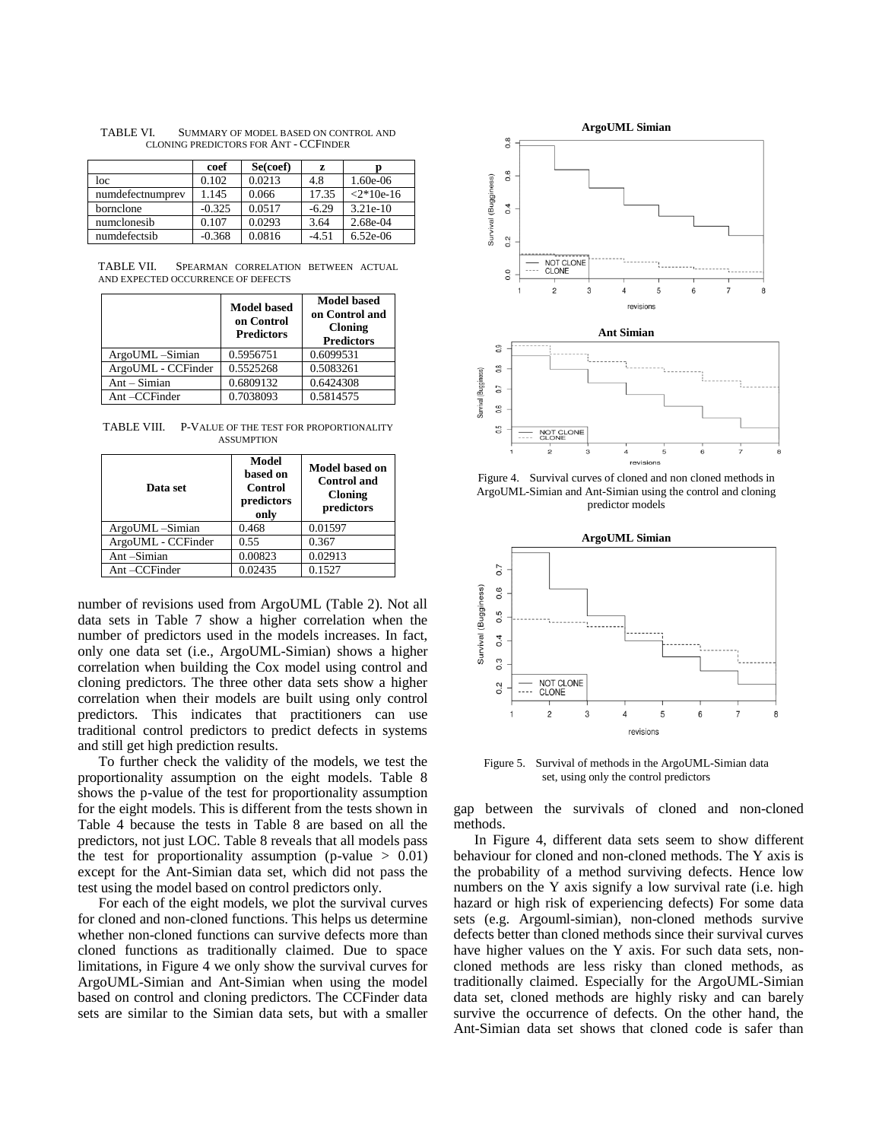|                  | coef     | Se(coef) | Z       |              |
|------------------|----------|----------|---------|--------------|
| loc              | 0.102    | 0.0213   | 4.8     | 1.60e-06     |
| numdefectnumprev | 1.145    | 0.066    | 17.35   | $<$ 2*10e-16 |
| bornclone        | $-0.325$ | 0.0517   | $-6.29$ | $3.21e-10$   |
| numclonesib      | 0.107    | 0.0293   | 3.64    | 2.68e-04     |
| numdefectsib     | $-0.368$ | 0.0816   | $-4.51$ | $6.52e-06$   |

TABLE VI. SUMMARY OF MODEL BASED ON CONTROL AND CLONING PREDICTORS FOR ANT - CCFINDER

| TABLE VII.                         | SPEARMAN CORRELATION BETWEEN ACTUAL |  |
|------------------------------------|-------------------------------------|--|
| AND EXPECTED OCCURRENCE OF DEFECTS |                                     |  |

|                    | <b>Model based</b><br>on Control<br><b>Predictors</b> | <b>Model based</b><br>on Control and<br><b>Cloning</b><br><b>Predictors</b> |
|--------------------|-------------------------------------------------------|-----------------------------------------------------------------------------|
| ArgoUML-Simian     | 0.5956751                                             | 0.6099531                                                                   |
| ArgoUML - CCFinder | 0.5525268                                             | 0.5083261                                                                   |
| $Ant-Simian$       | 0.6809132                                             | 0.6424308                                                                   |
| Ant-CCFinder       | 0.7038093                                             | 0.5814575                                                                   |

TABLE VIII. P-VALUE OF THE TEST FOR PROPORTIONALITY ASSUMPTION

| Data set           | Model<br>based on<br><b>Control</b><br>predictors<br>only | <b>Model based on</b><br><b>Control</b> and<br>Cloning<br>predictors |
|--------------------|-----------------------------------------------------------|----------------------------------------------------------------------|
| ArgoUML-Simian     | 0.468                                                     | 0.01597                                                              |
| ArgoUML - CCFinder | 0.55                                                      | 0.367                                                                |
| Ant-Simian         | 0.00823                                                   | 0.02913                                                              |
| Ant-CCFinder       | 0.02435                                                   | 0.1527                                                               |

number of revisions used from ArgoUML (Table 2). Not all data sets in Table 7 show a higher correlation when the number of predictors used in the models increases. In fact, only one data set (i.e., ArgoUML-Simian) shows a higher correlation when building the Cox model using control and cloning predictors. The three other data sets show a higher correlation when their models are built using only control predictors. This indicates that practitioners can use traditional control predictors to predict defects in systems and still get high prediction results.

To further check the validity of the models, we test the proportionality assumption on the eight models. Table 8 shows the p-value of the test for proportionality assumption for the eight models. This is different from the tests shown in Table 4 because the tests in Table 8 are based on all the predictors, not just LOC. Table 8 reveals that all models pass the test for proportionality assumption (p-value  $> 0.01$ ) except for the Ant-Simian data set, which did not pass the test using the model based on control predictors only.

For each of the eight models, we plot the survival curves for cloned and non-cloned functions. This helps us determine whether non-cloned functions can survive defects more than cloned functions as traditionally claimed. Due to space limitations, in Figure 4 we only show the survival curves for ArgoUML-Simian and Ant-Simian when using the model based on control and cloning predictors. The CCFinder data sets are similar to the Simian data sets, but with a smaller





Figure 4. Survival curves of cloned and non cloned methods in ArgoUML-Simian and Ant-Simian using the control and cloning predictor models



Figure 5. Survival of methods in the ArgoUML-Simian data set, using only the control predictors

gap between the survivals of cloned and non-cloned methods.

In Figure 4, different data sets seem to show different behaviour for cloned and non-cloned methods. The Y axis is the probability of a method surviving defects. Hence low numbers on the Y axis signify a low survival rate (i.e. high hazard or high risk of experiencing defects) For some data sets (e.g. Argouml-simian), non-cloned methods survive defects better than cloned methods since their survival curves have higher values on the Y axis. For such data sets, noncloned methods are less risky than cloned methods, as traditionally claimed. Especially for the ArgoUML-Simian data set, cloned methods are highly risky and can barely survive the occurrence of defects. On the other hand, the Ant-Simian data set shows that cloned code is safer than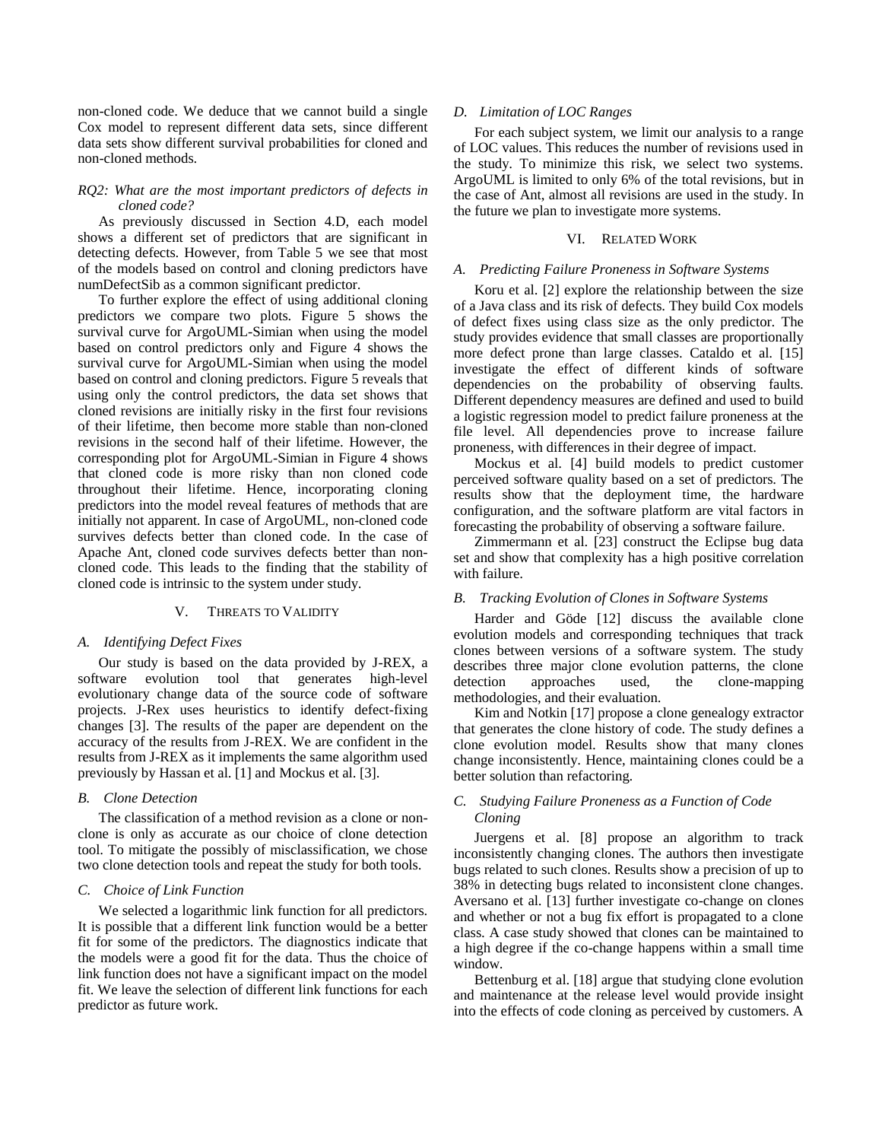non-cloned code. We deduce that we cannot build a single Cox model to represent different data sets, since different data sets show different survival probabilities for cloned and non-cloned methods.

# *RQ2: What are the most important predictors of defects in cloned code?*

As previously discussed in Section 4.D, each model shows a different set of predictors that are significant in detecting defects. However, from Table 5 we see that most of the models based on control and cloning predictors have numDefectSib as a common significant predictor.

To further explore the effect of using additional cloning predictors we compare two plots. Figure 5 shows the survival curve for ArgoUML-Simian when using the model based on control predictors only and Figure 4 shows the survival curve for ArgoUML-Simian when using the model based on control and cloning predictors. Figure 5 reveals that using only the control predictors, the data set shows that cloned revisions are initially risky in the first four revisions of their lifetime, then become more stable than non-cloned revisions in the second half of their lifetime. However, the corresponding plot for ArgoUML-Simian in Figure 4 shows that cloned code is more risky than non cloned code throughout their lifetime. Hence, incorporating cloning predictors into the model reveal features of methods that are initially not apparent. In case of ArgoUML, non-cloned code survives defects better than cloned code. In the case of Apache Ant, cloned code survives defects better than noncloned code. This leads to the finding that the stability of cloned code is intrinsic to the system under study.

#### V. THREATS TO VALIDITY

# *A. Identifying Defect Fixes*

Our study is based on the data provided by J-REX, a software evolution tool that generates high-level evolutionary change data of the source code of software projects. J-Rex uses heuristics to identify defect-fixing changes [3]. The results of the paper are dependent on the accuracy of the results from J-REX. We are confident in the results from J-REX as it implements the same algorithm used previously by Hassan et al. [1] and Mockus et al. [3].

#### *B. Clone Detection*

The classification of a method revision as a clone or nonclone is only as accurate as our choice of clone detection tool. To mitigate the possibly of misclassification, we chose two clone detection tools and repeat the study for both tools.

## *C. Choice of Link Function*

We selected a logarithmic link function for all predictors. It is possible that a different link function would be a better fit for some of the predictors. The diagnostics indicate that the models were a good fit for the data. Thus the choice of link function does not have a significant impact on the model fit. We leave the selection of different link functions for each predictor as future work.

#### *D. Limitation of LOC Ranges*

For each subject system, we limit our analysis to a range of LOC values. This reduces the number of revisions used in the study. To minimize this risk, we select two systems. ArgoUML is limited to only 6% of the total revisions, but in the case of Ant, almost all revisions are used in the study. In the future we plan to investigate more systems.

#### VI. RELATED WORK

#### *A. Predicting Failure Proneness in Software Systems*

Koru et al. [2] explore the relationship between the size of a Java class and its risk of defects. They build Cox models of defect fixes using class size as the only predictor. The study provides evidence that small classes are proportionally more defect prone than large classes. Cataldo et al. [15] investigate the effect of different kinds of software dependencies on the probability of observing faults. Different dependency measures are defined and used to build a logistic regression model to predict failure proneness at the file level. All dependencies prove to increase failure proneness, with differences in their degree of impact.

Mockus et al. [4] build models to predict customer perceived software quality based on a set of predictors. The results show that the deployment time, the hardware configuration, and the software platform are vital factors in forecasting the probability of observing a software failure.

Zimmermann et al. [23] construct the Eclipse bug data set and show that complexity has a high positive correlation with failure.

# *B. Tracking Evolution of Clones in Software Systems*

Harder and Göde [12] discuss the available clone evolution models and corresponding techniques that track clones between versions of a software system. The study describes three major clone evolution patterns, the clone detection approaches used, the clone-mapping methodologies, and their evaluation.

Kim and Notkin [17] propose a clone genealogy extractor that generates the clone history of code. The study defines a clone evolution model. Results show that many clones change inconsistently. Hence, maintaining clones could be a better solution than refactoring.

# *C. Studying Failure Proneness as a Function of Code Cloning*

Juergens et al. [8] propose an algorithm to track inconsistently changing clones. The authors then investigate bugs related to such clones. Results show a precision of up to 38% in detecting bugs related to inconsistent clone changes. Aversano et al. [13] further investigate co-change on clones and whether or not a bug fix effort is propagated to a clone class. A case study showed that clones can be maintained to a high degree if the co-change happens within a small time window.

Bettenburg et al. [18] argue that studying clone evolution and maintenance at the release level would provide insight into the effects of code cloning as perceived by customers. A